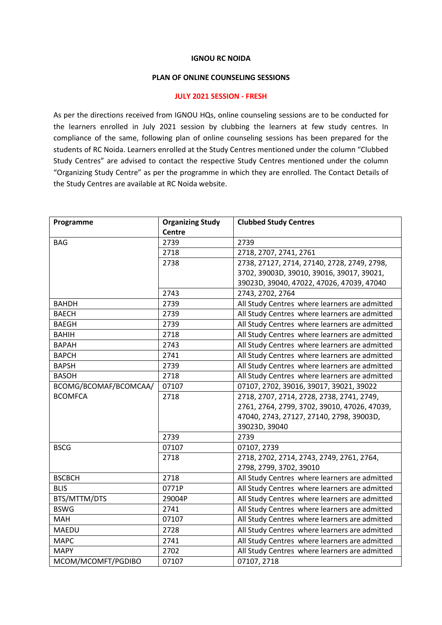## **IGNOU RC NOIDA**

## **PLAN OF ONLINE COUNSELING SESSIONS**

## **JULY 2021 SESSION - FRESH**

As per the directions received from IGNOU HQs, online counseling sessions are to be conducted for the learners enrolled in July 2021 session by clubbing the learners at few study centres. In compliance of the same, following plan of online counseling sessions has been prepared for the students of RC Noida. Learners enrolled at the Study Centres mentioned under the column "Clubbed Study Centres" are advised to contact the respective Study Centres mentioned under the column "Organizing Study Centre" as per the programme in which they are enrolled. The Contact Details of the Study Centres are available at RC Noida website.

| Programme             | <b>Organizing Study</b> | <b>Clubbed Study Centres</b>                  |
|-----------------------|-------------------------|-----------------------------------------------|
|                       | <b>Centre</b>           |                                               |
| <b>BAG</b>            | 2739                    | 2739                                          |
|                       | 2718                    | 2718, 2707, 2741, 2761                        |
|                       | 2738                    | 2738, 27127, 2714, 27140, 2728, 2749, 2798,   |
|                       |                         | 3702, 39003D, 39010, 39016, 39017, 39021,     |
|                       |                         | 39023D, 39040, 47022, 47026, 47039, 47040     |
|                       | 2743                    | 2743, 2702, 2764                              |
| <b>BAHDH</b>          | 2739                    | All Study Centres where learners are admitted |
| <b>BAECH</b>          | 2739                    | All Study Centres where learners are admitted |
| <b>BAEGH</b>          | 2739                    | All Study Centres where learners are admitted |
| <b>BAHIH</b>          | 2718                    | All Study Centres where learners are admitted |
| <b>BAPAH</b>          | 2743                    | All Study Centres where learners are admitted |
| <b>BAPCH</b>          | 2741                    | All Study Centres where learners are admitted |
| <b>BAPSH</b>          | 2739                    | All Study Centres where learners are admitted |
| <b>BASOH</b>          | 2718                    | All Study Centres where learners are admitted |
| BCOMG/BCOMAF/BCOMCAA/ | 07107                   | 07107, 2702, 39016, 39017, 39021, 39022       |
| <b>BCOMFCA</b>        | 2718                    | 2718, 2707, 2714, 2728, 2738, 2741, 2749,     |
|                       |                         | 2761, 2764, 2799, 3702, 39010, 47026, 47039,  |
|                       |                         | 47040, 2743, 27127, 27140, 2798, 39003D,      |
|                       |                         | 39023D, 39040                                 |
|                       | 2739                    | 2739                                          |
| <b>BSCG</b>           | 07107                   | 07107, 2739                                   |
|                       | 2718                    | 2718, 2702, 2714, 2743, 2749, 2761, 2764,     |
|                       |                         | 2798, 2799, 3702, 39010                       |
| <b>BSCBCH</b>         | 2718                    | All Study Centres where learners are admitted |
| <b>BLIS</b>           | 0771P                   | All Study Centres where learners are admitted |
| BTS/MTTM/DTS          | 29004P                  | All Study Centres where learners are admitted |
| <b>BSWG</b>           | 2741                    | All Study Centres where learners are admitted |
| <b>MAH</b>            | 07107                   | All Study Centres where learners are admitted |
| <b>MAEDU</b>          | 2728                    | All Study Centres where learners are admitted |
| <b>MAPC</b>           | 2741                    | All Study Centres where learners are admitted |
| <b>MAPY</b>           | 2702                    | All Study Centres where learners are admitted |
| MCOM/MCOMFT/PGDIBO    | 07107                   | 07107, 2718                                   |